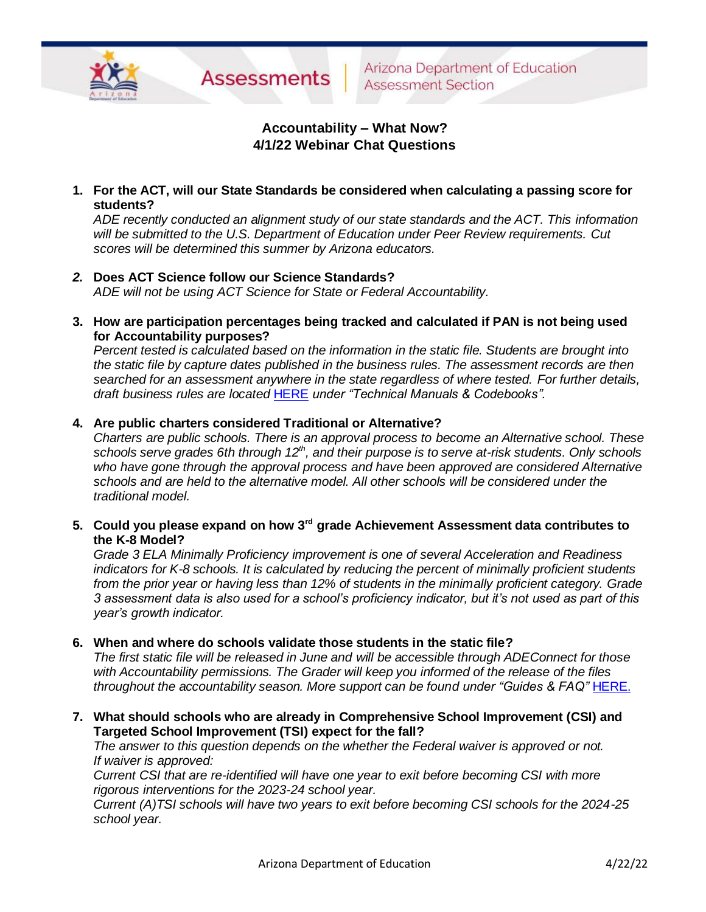

# **Accountability – What Now? 4/1/22 Webinar Chat Questions**

**1. For the ACT, will our State Standards be considered when calculating a passing score for students?**

*ADE recently conducted an alignment study of our state standards and the ACT. This information will be submitted to the U.S. Department of Education under Peer Review requirements. Cut scores will be determined this summer by Arizona educators.* 

- *2.* **Does ACT Science follow our Science Standards?** *ADE will not be using ACT Science for State or Federal Accountability.*
- **3. How are participation percentages being tracked and calculated if PAN is not being used for Accountability purposes?**

*Percent tested is calculated based on the information in the static file. Students are brought into the static file by capture dates published in the business rules. The assessment records are then searched for an assessment anywhere in the state regardless of where tested. For further details, draft business rules are located* [HERE](https://www.azed.gov/accountability-research/resources) *under "Technical Manuals & Codebooks".* 

## **4. Are public charters considered Traditional or Alternative?**

*Charters are public schools. There is an approval process to become an Alternative school. These schools serve grades 6th through 12th , and their purpose is to serve at-risk students. Only schools who have gone through the approval process and have been approved are considered Alternative schools and are held to the alternative model. All other schools will be considered under the traditional model.* 

**5. Could you please expand on how 3rd grade Achievement Assessment data contributes to the K-8 Model?**

*Grade 3 ELA Minimally Proficiency improvement is one of several Acceleration and Readiness indicators for K-8 schools. It is calculated by reducing the percent of minimally proficient students from the prior year or having less than 12% of students in the minimally proficient category. Grade 3 assessment data is also used for a school's proficiency indicator, but it's not used as part of this year's growth indicator.*

**6. When and where do schools validate those students in the static file?**

*The first static file will be released in June and will be accessible through ADEConnect for those with Accountability permissions. The Grader will keep you informed of the release of the files throughout the accountability season. More support can be found under "Guides & FAQ" [HERE.](https://www.azed.gov/accountability-research/resources)* 

**7. What should schools who are already in Comprehensive School Improvement (CSI) and Targeted School Improvement (TSI) expect for the fall?**

*The answer to this question depends on the whether the Federal waiver is approved or not. If waiver is approved:*

*Current CSI that are re-identified will have one year to exit before becoming CSI with more rigorous interventions for the 2023-24 school year.*

*Current (A)TSI schools will have two years to exit before becoming CSI schools for the 2024-25 school year.*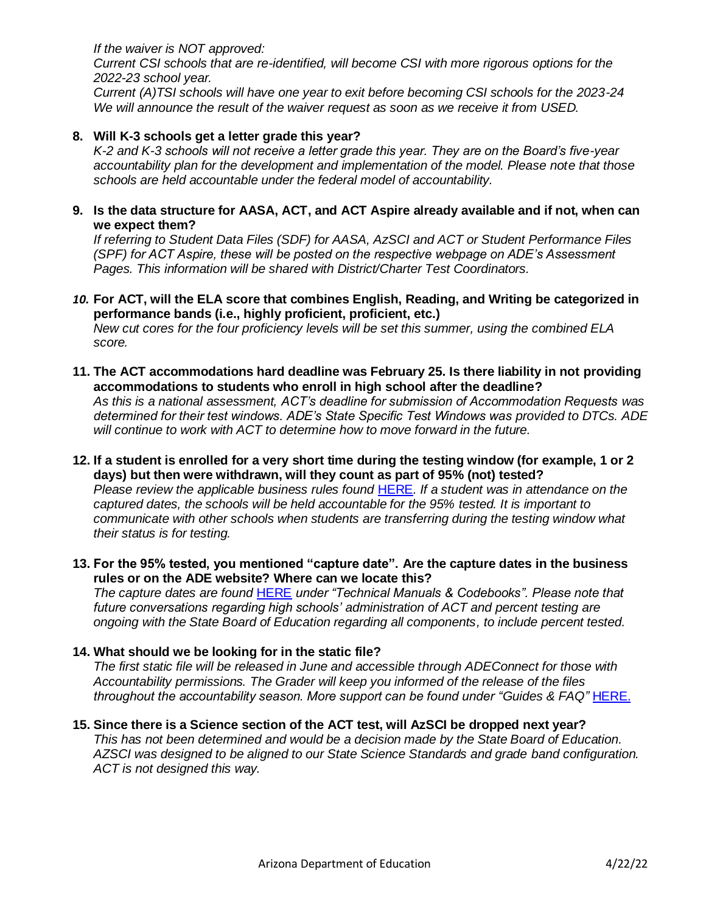*If the waiver is NOT approved:*

*Current CSI schools that are re-identified, will become CSI with more rigorous options for the 2022-23 school year.*

*Current (A)TSI schools will have one year to exit before becoming CSI schools for the 2023-24 We will announce the result of the waiver request as soon as we receive it from USED.*

### **8. Will K-3 schools get a letter grade this year?**

*K-2 and K-3 schools will not receive a letter grade this year. They are on the Board's five-year accountability plan for the development and implementation of the model. Please note that those schools are held accountable under the federal model of accountability.* 

#### **9. Is the data structure for AASA, ACT, and ACT Aspire already available and if not, when can we expect them?**

*If referring to Student Data Files (SDF) for AASA, AzSCI and ACT or Student Performance Files (SPF) for ACT Aspire, these will be posted on the respective webpage on ADE's Assessment Pages. This information will be shared with District/Charter Test Coordinators.*

## *10.* **For ACT, will the ELA score that combines English, Reading, and Writing be categorized in performance bands (i.e., highly proficient, proficient, etc.)**

*New cut cores for the four proficiency levels will be set this summer, using the combined ELA score.*

**11. The ACT accommodations hard deadline was February 25. Is there liability in not providing accommodations to students who enroll in high school after the deadline?**

*As this is a national assessment, ACT's deadline for submission of Accommodation Requests was determined for their test windows. ADE's State Specific Test Windows was provided to DTCs. ADE will continue to work with ACT to determine how to move forward in the future.*

- **12. If a student is enrolled for a very short time during the testing window (for example, 1 or 2 days) but then were withdrawn, will they count as part of 95% (not) tested?** *Please review the applicable business rules found* [HERE](https://www.azed.gov/accountability-research/resources)*. If a student was in attendance on the captured dates, the schools will be held accountable for the 95% tested. It is important to communicate with other schools when students are transferring during the testing window what their status is for testing.*
- **13. For the 95% tested, you mentioned "capture date". Are the capture dates in the business rules or on the ADE website? Where can we locate this?**

*The capture dates are found* [HERE](https://www.azed.gov/accountability-research/resources) *under "Technical Manuals & Codebooks". Please note that future conversations regarding high schools' administration of ACT and percent testing are ongoing with the State Board of Education regarding all components, to include percent tested.* 

## **14. What should we be looking for in the static file?**

*The first static file will be released in June and accessible through ADEConnect for those with Accountability permissions. The Grader will keep you informed of the release of the files throughout the accountability season. More support can be found under "Guides & FAQ"* [HERE.](https://www.azed.gov/accountability-research/resources)

**15. Since there is a Science section of the ACT test, will AzSCI be dropped next year?** *This has not been determined and would be a decision made by the State Board of Education. AZSCI was designed to be aligned to our State Science Standards and grade band configuration. ACT is not designed this way.*